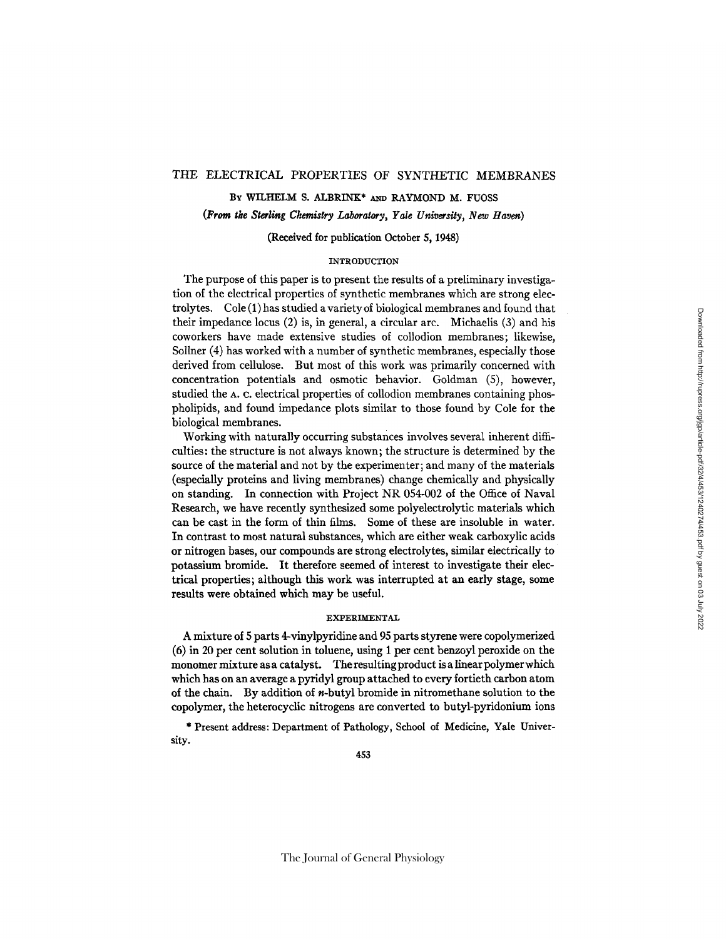# THE ELECTRICAL PROPERTIES OF SYNTHETIC MEMBRANES

BY WILHELM S. ALBRINK\* AND RAYMOND M. FUOSS

# (From *tie Sterling Chemistry Laboratory, Yale University, New Haven)*

## (Received for publication October 5, 1948)

# INTRODUCTION

The purpose of this paper is to present the results of a preliminary investigation of the electrical properties of synthetic membranes which are strong electrolytes. Cole (1) has studied a variety of biological membranes and found that their impedance locus (2) is, in general, a circular arc. Michaelis (3) and his coworkers have made extensive studies of collodion membranes; likewise, Sollner (4) has worked with a number of synthetic membranes, especially those derived from cellulose. But most of this work was primarily concerned with concentration potentials and osmotic behavior. Goldman (5), however, studied the A. C. electrical properties of collodion membranes containing phospholipids, and found impedance plots similar to those found by Cole for the biological membranes.

Working with naturally occurring substances involves several inherent difficulties: the structure is not always known; the structure is determined by the source of the material and not by the experimenter; and many of the materials (especially proteins and living membranes) change chemically and physically on standing. In connection with Project NR 054-002 of the Office of Naval Research, we have recently synthesized some polyelectrolytic materials which can be cast in the form of thin films. Some of these are insoluble in water. In contrast to most natural substances, which are either weak carboxylic acids or nitrogen bases, our compounds are strong electrolytes, similar electrically to potassium bromide. It therefore seemed of interest to investigate their electrical properties; although this work was interrupted at an early stage, some results were obtained which may be useful.

### **EXPERIMENTAL**

A mixture of 5 parts 4-vinylpyridine and 95 parts styrene were copolymerized (6) in 20 per cent solution in toluene, using 1 per cent benzoyl peroxide on the monomer mixture as a catalyst. The resulting product is a linear polymer which which has on an average a pyridyl group attached to every fortieth carbon atom of the chain. By addition of n-butyl bromide in nitromethane solution to the copolymer, the heterocyclic nitrogens are converted to butyl-pyridonium ions

\* Present address: Department of Pathology, School of Medicine, Yale University.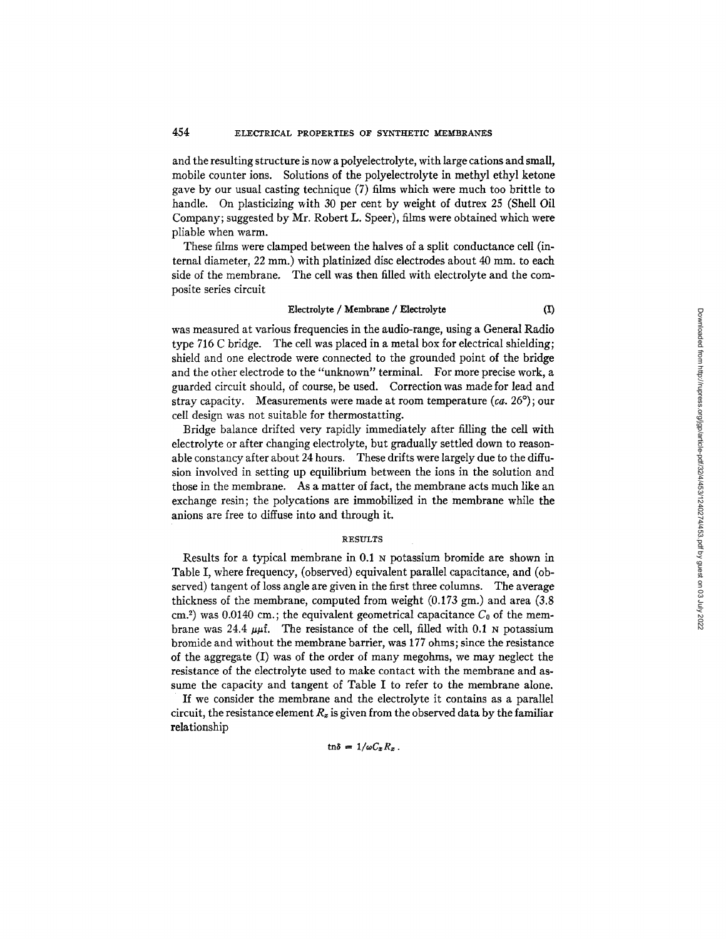## 454 ELECTRICAL PROPERTIES OF SYNTHETIC MEMBRANES

and the resulting structure is now a polyelectrolyte, with large cations and small, mobile counter ions. Solutions of the polyelectrolyte in methyl ethyl ketone gave by our usual casting technique (7) films which were much too brittle to handle. On plasticizing with 30 per cent by weight of dutrex 25 (Shell Oil Company; suggested by Mr. Robert L. Speer), films were obtained which were pliable when warm.

These films were clamped between the halves of a split conductance cell (internal diameter, 22 mm.) with platinized disc electrodes about 40 mm. to each side of the membrane. The cell was then filled with electrolyte and the composite series circuit

### Electrolyte / Membrane / Electrolyte (I)

was measured at various frequencies in the audio-range, using a General Radio type 716 C bridge. The cell was placed in a metal box for electrical shielding; shield and one electrode were connected to the grounded point of the bridge and the other electrode to the "unknown" terminal. For more precise work, a guarded circuit should, of course, be used. Correction was made for lead and stray capacity. Measurements were made at room temperature *(ca.* 26 °) ; our cell design was not suitable for thermostatting.

Bridge balance drifted very rapidly immediately after filling the cell with electrolyte or after changing electrolyte, but gradually settled down to reasonable constancy after about 24 hours. These drifts were largely due to the diffusion involved in setting up equilibrium between the ions in the solution and those in the membrane. As a matter of fact, the membrane acts much like an exchange resin; the polycations are immobilized in the membrane while the anions are free to diffuse into and through it.

#### RESULTS

Results for a typical membrane in 0.1 N potassium bromide are shown in Table I, where frequency, (observed) equivalent parallel capacitance, and (observed) tangent of loss angle are given in the first three columns. The average thickness of the membrane, computed from weight  $(0.173 \text{ gm.})$  and area  $(3.8 \text{ m.})$ cm.<sup>2</sup>) was 0.0140 cm.; the equivalent geometrical capacitance  $C_0$  of the membrane was 24.4  $\mu$ t. The resistance of the cell, filled with 0.1 N potassium bromide and without the membrane barrier, was 177 ohms; since the resistance of the aggregate (I) was of the order of many megohms, we may neglect the resistance of the electrolyte used to make contact with the membrane and assume the capacity and tangent of Table I to refer to the membrane alone.

If we consider the membrane and the electrolyte it contains as a parallel circuit, the resistance element  $R<sub>x</sub>$  is given from the observed data by the familiar relationship

 $\tan \delta = 1/\omega C_x R_z$ .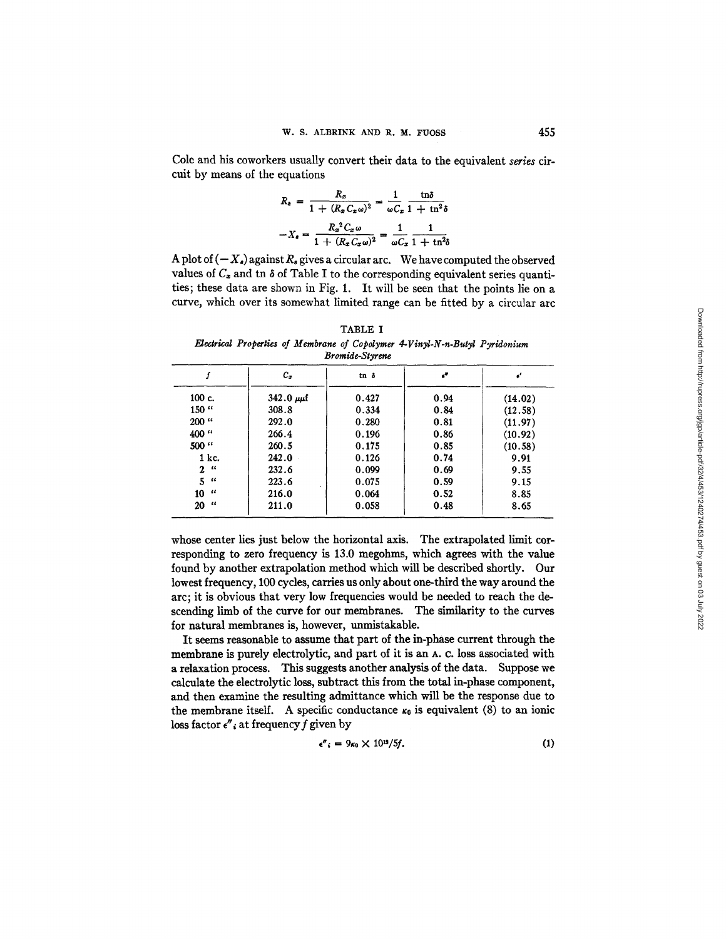Cole and his coworkers usually convert their data to the equivalent *series* circuit by means of the equations

$$
R_{\epsilon} = \frac{R_x}{1 + (R_x C_x \omega)^2} = \frac{1}{\omega C_x} \frac{\ln \delta}{1 + \ln^2 \delta}
$$

$$
-X_{\epsilon} = \frac{R_x^2 C_x \omega}{1 + (R_x C_x \omega)^2} = \frac{1}{\omega C_x} \frac{1}{1 + \ln^2 \delta}
$$

A plot of  $(-X_s)$  against  $R_s$  gives a circular arc. We have computed the observed values of  $C_z$  and tn  $\delta$  of Table I to the corresponding equivalent series quantities; these data are shown in Fig. 1. It will be seen that the points lie on a curve, which over its somewhat limited range can be fitted by a circular arc

TABLE I *Electrical Properties of Membrane of Copolymer 4-Vinyl-N-n-Butyl Pyridonium Bromide-Styrene* 

|                  | $c_z$                | $tn \delta$ | e"   | ď       |
|------------------|----------------------|-------------|------|---------|
| $100c$ .         | $342.0 \mu \text{m}$ | 0.427       | 0.94 | (14.02) |
| $150$ $\cdot$    | 308.8                | 0.334       | 0.84 | (12.58) |
| $200$ $\cdot$    | 292.0                | 0.280       | 0.81 | (11.97) |
| 400 <sup>"</sup> | 266.4                | 0.196       | 0.86 | (10.92) |
| 500 "            | 260.5                | 0.175       | 0.85 | (10.58) |
| $1$ kc.          | 242.0                | 0.126       | 0.74 | 9.91    |
| 2 <sup>ii</sup>  | 232.6                | 0.099       | 0.69 | 9.55    |
| 5 <sup>''</sup>  | 223.6                | 0.075       | 0.59 | 9.15    |
| $10$ "           | 216.0                | 0.064       | 0.52 | 8.85    |
| $20$ "           | 211.0                | 0.058       | 0.48 | 8.65    |

whose center lies just below the horizontal axis. The extrapolated limit corresponding to zero frequency is 13.0 megohms, which agrees with the value found by another extrapolation method which will be described shortly. Our lowest frequency, 100 cycles, carries us only about one-third the way around the arc; it is obvious that very low frequencies would be needed to reach the descending limb of the curve for our membranes. The similarity to the curves for natural membranes is, however, unmistakable.

It seems reasonable to assume that part of the in-phase current through the membrane is purely electrolytic, and part of it is an A. C. loss associated with a relaxation process. This suggests another analysis of the data. Suppose we calculate the electrolytic loss, subtract this from the total in-phase component, and then examine the resulting admittance which will be the response due to the membrane itself. A specific conductance  $\kappa_0$  is equivalent (8) to an ionic loss factor  $e''$ , at frequency f given by

$$
\epsilon''_i = 9\kappa_0 \times 10^{12}/5f. \tag{1}
$$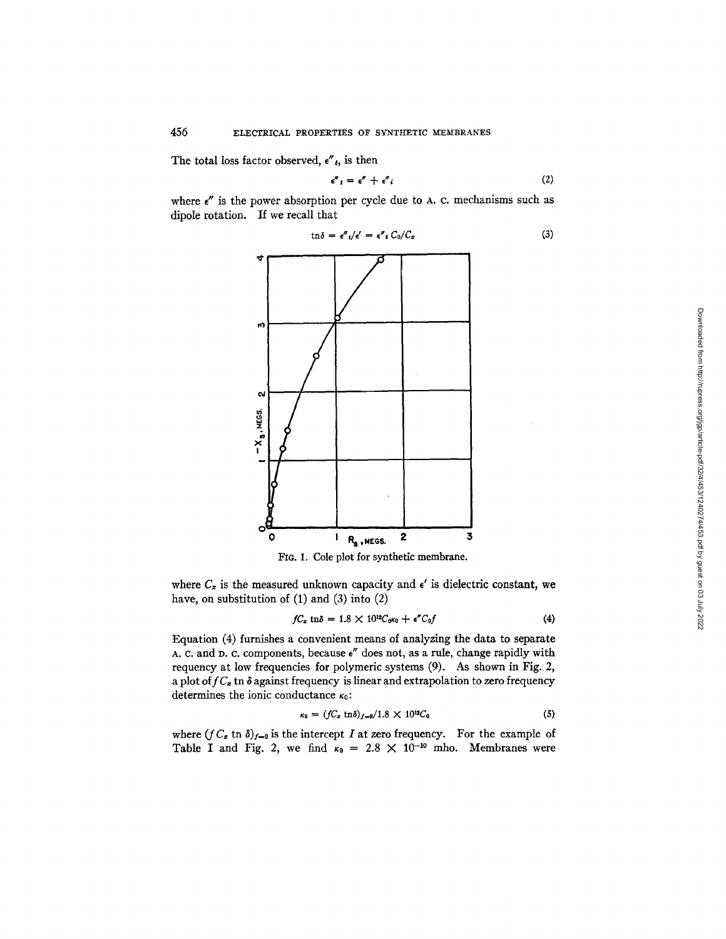The total loss factor observed,  $\epsilon''_t$ , is then

$$
\epsilon''_t = \epsilon'' + \epsilon''_t \tag{2}
$$

where  $\epsilon''$  is the power absorption per cycle due to A. c. mechanisms such as dipole rotation. If we recall that

$$
\tan \delta = \epsilon'' \, i/\epsilon' = \epsilon'' \, i \, C_0/C_x \tag{3}
$$



FIG. 1. Cole plot for synthetic membrane.

where  $C_x$  is the measured unknown capacity and  $\epsilon'$  is dielectric constant, we have, on substitution of  $(1)$  and  $(3)$  into  $(2)$ 

$$
fC_x \text{ th}\delta = 1.8 \times 10^{12} C_0 \kappa_0 + \epsilon'' C_0 f \tag{4}
$$

Equation (4) furnishes a convenient means of analyzing the data to separate A. C. and D. C. components, because  $\epsilon''$  does not, as a rule, change rapidly with requency at low frequencies for polymeric systems (9). As shown in Fig. 2, a plot of  $fC_z$  tn  $\delta$  against frequency is linear and extrapolation to zero frequency determines the ionic conductance  $\kappa_0$ :

$$
\kappa_0 = (fC_x \, \text{tn}\delta)_{f=0}/1.8 \times 10^{12}C_0 \tag{5}
$$

where  $(f C_{\varepsilon} \text{ in } \delta)_{I=0}$  is the intercept I at zero frequency. For the example of Table I and Fig. 2, we find  $\kappa_0 = 2.8 \times 10^{-10}$  mho. Membranes were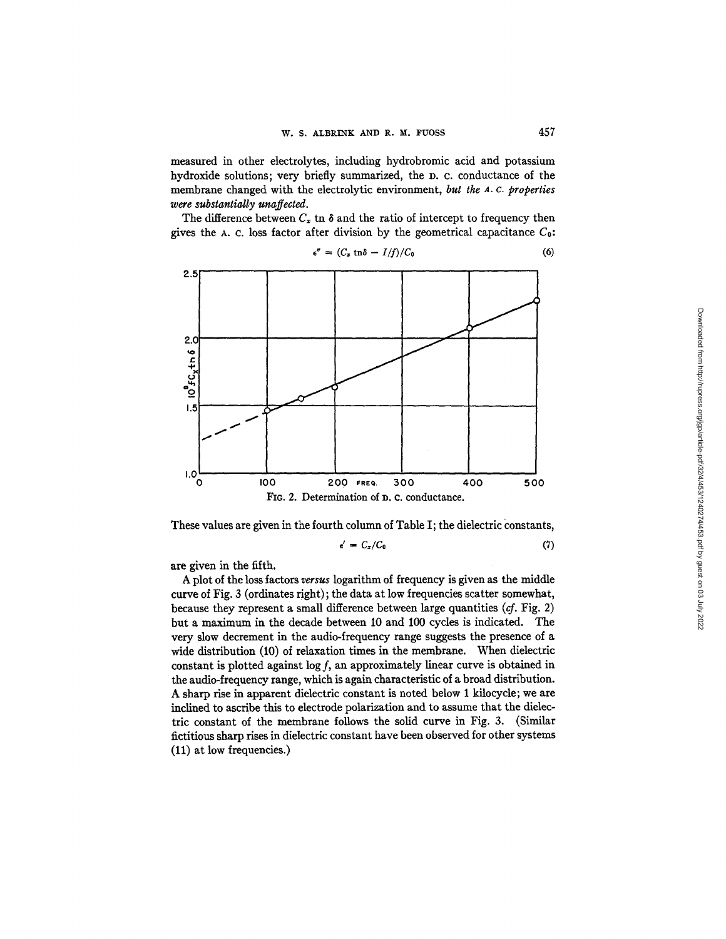measured in other electrolytes, including hydrobromic acid and potassium hydroxide solutions; very briefly summarized, the D. C. conductance of the membrane changed with the electrolytic environment, *but the a. c. properties were substantially unaffected.* 

The difference between  $C_z$  tn  $\delta$  and the ratio of intercept to frequency then gives the A. c. loss factor after division by the geometrical capacitance  $C_0$ :



$$
\epsilon'' = (C_z \ln \delta - I/f)/C_0 \tag{6}
$$

These values are given in the fourth column of Table I; the dielectric constants,

$$
\epsilon' = C_x/C_0 \tag{7}
$$

are given in the fifth.

A plot of the loss factors *versus* logarithm of frequency is given as the middle curve of Fig. 3 (ordinates fight) ; the data at low frequencies scatter somewhat, because they represent a small difference between large quantities  $(cf. Fig. 2)$ but a maximum in the decade between I0 and 100 cycles is indicated. The very slow decrement in the audio-frequency range suggests the presence of a wide distribution (10) of relaxation times in the membrane. When dielectric constant is plotted against  $\log f$ , an approximately linear curve is obtained in the audio-frequency range, which is again characteristic of a broad distribution. A sharp rise in apparent dielectric constant is noted below 1 kilocycle; we are inclined to ascribe this to electrode polarization and to assume that the dielectric constant of the membrane follows the solid curve in Fig. 3. (Similar fictitious sharp rises in dielectric constant have been observed for other systems (11) at low frequencies.)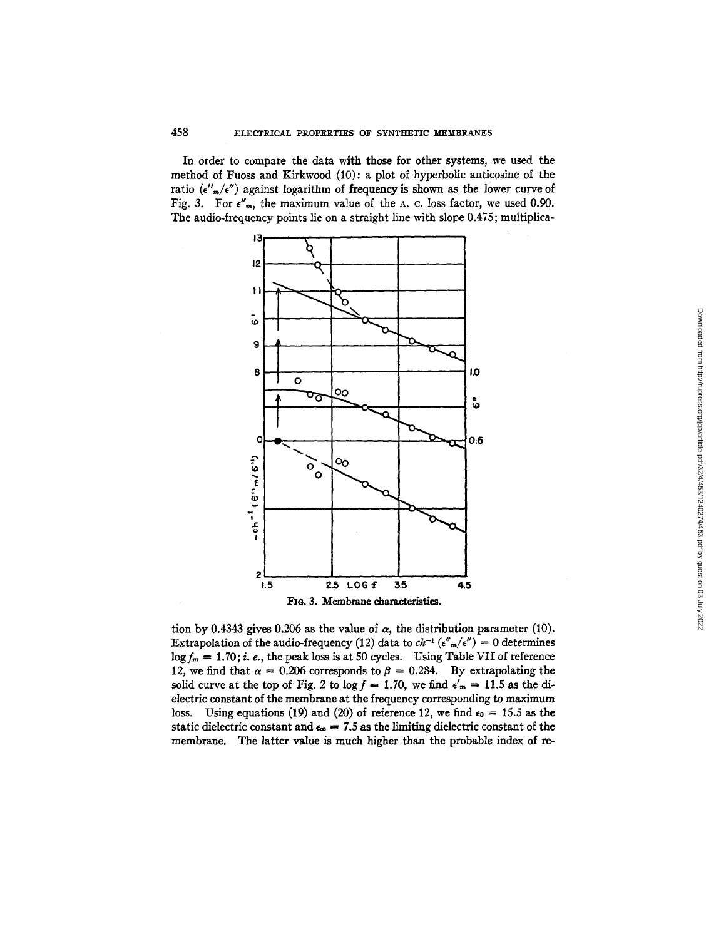In order to compare the data with those for other systems, we used the method of Fuoss and Kirkwood (10): a plot of hyperbolic anticosine of the ratio  $({\epsilon''_m}/{\epsilon''})$  against logarithm of frequency is shown as the lower curve of Fig. 3. For  $e''_m$ , the maximum value of the A. c. loss factor, we used 0.90. The audio-frequency points lie on a straight line with slope 0.475; multiplica-



tion by 0.4343 gives 0.206 as the value of  $\alpha$ , the distribution parameter (10). Extrapolation of the audio-frequency (12) data to  $ch^{-1}(\epsilon''_{m}/\epsilon'') = 0$  determines  $\log f_m = 1.70$ ; i. e., the peak loss is at 50 cycles. Using Table VII of reference 12, we find that  $\alpha = 0.206$  corresponds to  $\beta = 0.284$ . By extrapolating the solid curve at the top of Fig. 2 to  $\log f = 1.70$ , we find  $\epsilon'_m = 11.5$  as the dielectric constant of the membrane at the frequency corresponding to maximum loss. Using equations (19) and (20) of reference 12, we find  $\epsilon_0 = 15.5$  as the static dielectric constant and  $\epsilon_{\infty} = 7.5$  as the limiting dielectric constant of the membrane. The latter value is much higher than the probable index of re-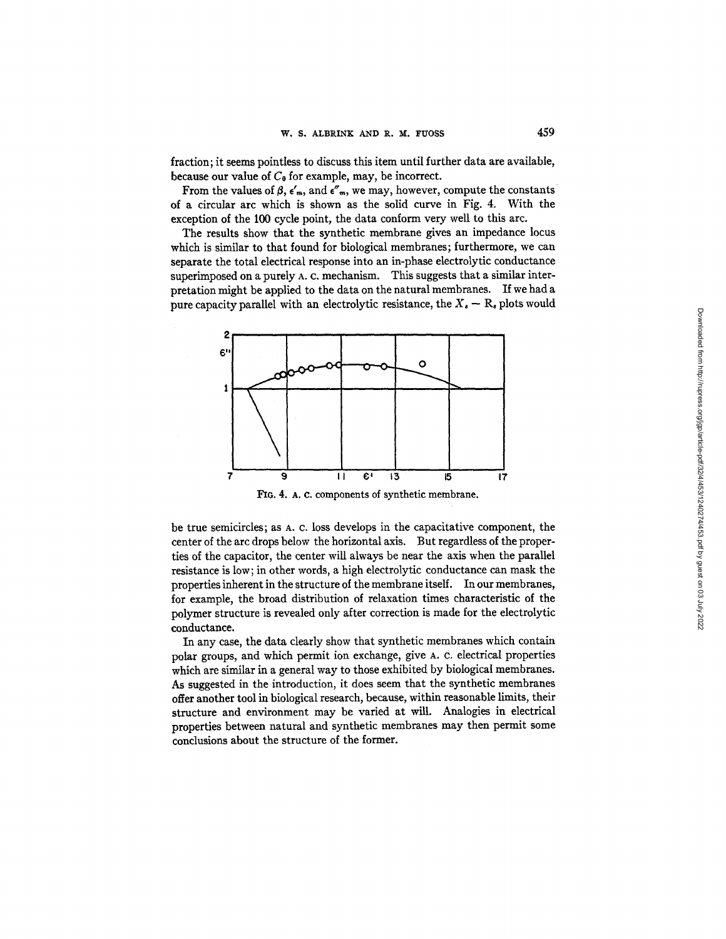fraction; it seems pointless to discuss this item until further data are available, because our value of  $C_0$  for example, may, be incorrect.

From the values of  $\beta$ ,  $\epsilon'$ <sub>m</sub>, and  $\epsilon''$ <sub>m</sub>, we may, however, compute the constants of a circular arc which is shown as the solid curve in Fig. 4. With the exception of the 100 cycle point, the data conform very well to this arc.

The results show that the synthetic membrane gives an impedance locus which is similar to that found for biological membranes; furthermore, we can separate the total electrical response into an in-phase electrolytic conductance superimposed on a purely A. c. mechanism. This suggests that a similar interpretation might be applied to the data on the natural membranes. If we had a pure capacity parallel with an electrolytic resistance, the  $X_s - R_s$  plots would



FIG. 4. A. C. components of synthetic membrane.

be true semicircles; as A. c. loss develops in the capacitative component, the center of the arc drops below the horizontal axis. But regardless of the properties of the capacitor, the center will always be near the axis when the parallel resistance is low; in other words, a high electrolytic conductance can mask the properties inherent in the structure of the membrane itself. In our membranes, for example, the broad distribution of relaxation times characteristic of the polymer structure is revealed only after correction is made for the electrolytic conductance.

In any case, the data clearly show that synthetic membranes which contain polar groups, and which permit ion exchange, give A. c. electrical properties which are similar in a general way to those exhibited by biological membranes. As suggested in the introduction, it does seem that the synthetic membranes offer another tool in biological research, because, within reasonable limits, their structure and environment may be varied at will. Analogies in electrical properties between natural and synthetic membranes may then permit some conclusions about the structure of the former.